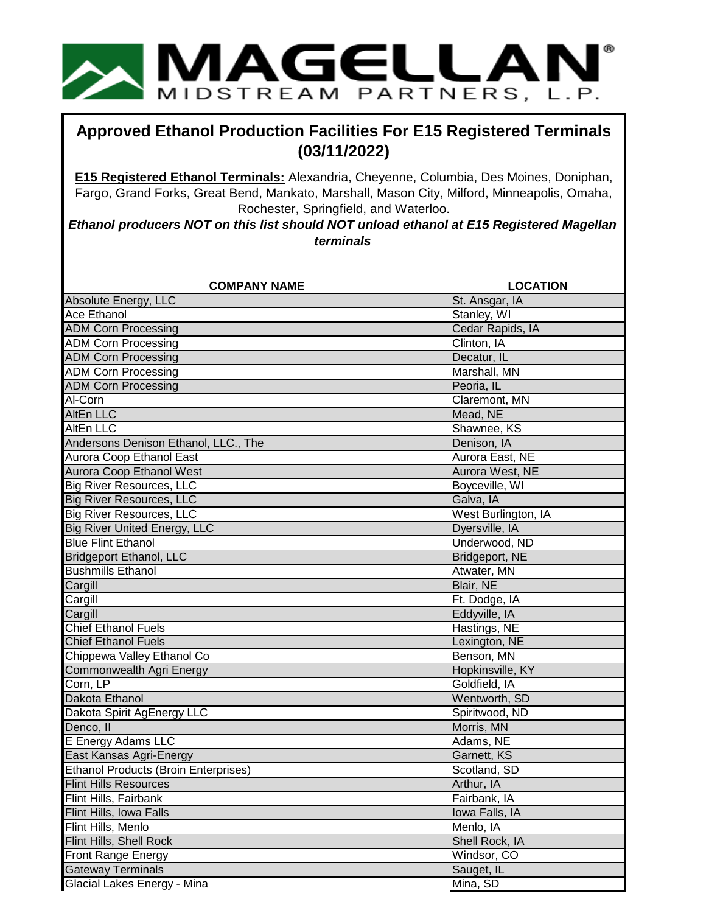

## **Approved Ethanol Production Facilities For E15 Registered Terminals (03/11/2022)**

**E15 Registered Ethanol Terminals:** Alexandria, Cheyenne, Columbia, Des Moines, Doniphan, Fargo, Grand Forks, Great Bend, Mankato, Marshall, Mason City, Milford, Minneapolis, Omaha, Rochester, Springfield, and Waterloo.

*Ethanol producers NOT on this list should NOT unload ethanol at E15 Registered Magellan terminals*

| <b>COMPANY NAME</b>                                             | <b>LOCATION</b>     |
|-----------------------------------------------------------------|---------------------|
| Absolute Energy, LLC                                            | St. Ansgar, IA      |
| <b>Ace Ethanol</b>                                              | Stanley, WI         |
| <b>ADM Corn Processing</b>                                      | Cedar Rapids, IA    |
| <b>ADM Corn Processing</b>                                      | Clinton, IA         |
| <b>ADM Corn Processing</b>                                      | Decatur, IL         |
| <b>ADM Corn Processing</b>                                      | Marshall, MN        |
| <b>ADM Corn Processing</b>                                      | Peoria, IL          |
| Al-Corn                                                         | Claremont, MN       |
| <b>AltEn LLC</b>                                                | Mead, NE            |
| AltEn LLC                                                       | Shawnee, KS         |
| Andersons Denison Ethanol, LLC., The                            | Denison, IA         |
| Aurora Coop Ethanol East                                        | Aurora East, NE     |
| Aurora Coop Ethanol West                                        | Aurora West, NE     |
| <b>Big River Resources, LLC</b>                                 | Boyceville, WI      |
| <b>Big River Resources, LLC</b>                                 | Galva, IA           |
| <b>Big River Resources, LLC</b>                                 | West Burlington, IA |
| <b>Big River United Energy, LLC</b>                             | Dyersville, IA      |
| <b>Blue Flint Ethanol</b>                                       | Underwood, ND       |
| <b>Bridgeport Ethanol, LLC</b>                                  | Bridgeport, NE      |
| <b>Bushmills Ethanol</b>                                        | Atwater, MN         |
| Cargill                                                         | Blair, NE           |
| Cargill                                                         | Ft. Dodge, IA       |
| Cargill                                                         | Eddyville, IA       |
| <b>Chief Ethanol Fuels</b>                                      | Hastings, NE        |
| <b>Chief Ethanol Fuels</b>                                      | Lexington, NE       |
| Chippewa Valley Ethanol Co                                      | Benson, MN          |
| Commonwealth Agri Energy                                        | Hopkinsville, KY    |
| Corn, LP                                                        | Goldfield, IA       |
| Dakota Ethanol                                                  | Wentworth, SD       |
| Dakota Spirit AgEnergy LLC                                      | Spiritwood, ND      |
| Denco, II                                                       | Morris, MN          |
| E Energy Adams LLC                                              | Adams, NE           |
| East Kansas Agri-Energy<br>Ethanol Products (Broin Enterprises) | Garnett, KS         |
|                                                                 | Scotland, SD        |
| <b>Flint Hills Resources</b>                                    | Arthur, IA          |
| Flint Hills, Fairbank                                           | Fairbank, IA        |
| Flint Hills, Iowa Falls                                         | Iowa Falls, IA      |
| Flint Hills, Menlo                                              | Menlo, IA           |
| Flint Hills, Shell Rock                                         | Shell Rock, IA      |
| Front Range Energy                                              | Windsor, CO         |
| Gateway Terminals                                               | Sauget, IL          |
| Glacial Lakes Energy - Mina                                     | Mina, SD            |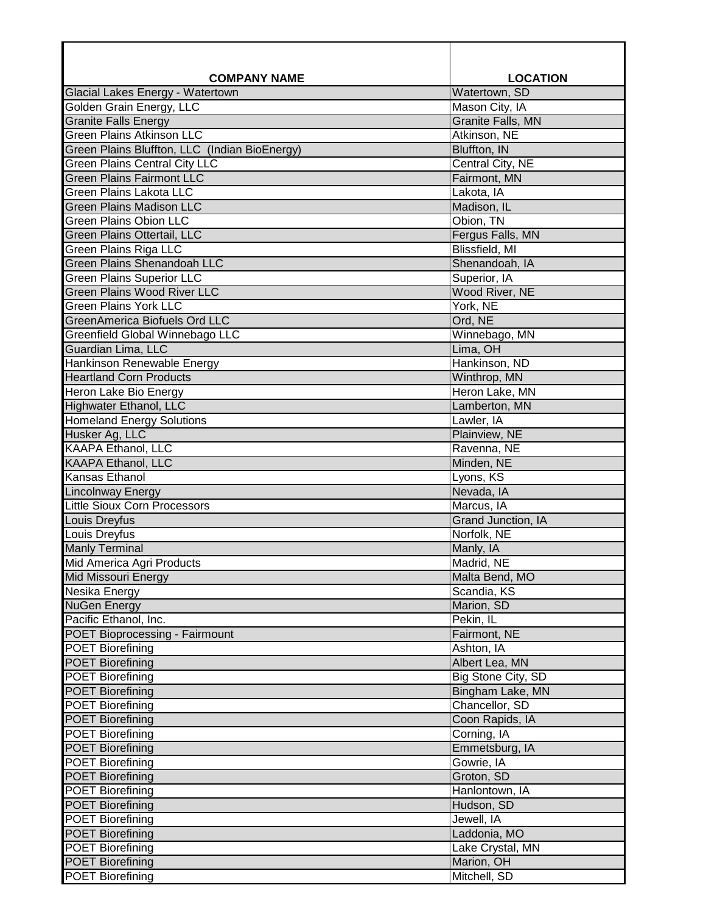| <b>COMPANY NAME</b>                           | <b>LOCATION</b>           |
|-----------------------------------------------|---------------------------|
| Glacial Lakes Energy - Watertown              | Watertown, SD             |
| Golden Grain Energy, LLC                      | Mason City, IA            |
| <b>Granite Falls Energy</b>                   | <b>Granite Falls, MN</b>  |
| <b>Green Plains Atkinson LLC</b>              | Atkinson, NE              |
| Green Plains Bluffton, LLC (Indian BioEnergy) | Bluffton, IN              |
| <b>Green Plains Central City LLC</b>          | Central City, NE          |
| <b>Green Plains Fairmont LLC</b>              | Fairmont, MN              |
| <b>Green Plains Lakota LLC</b>                | Lakota, IA                |
| <b>Green Plains Madison LLC</b>               | Madison, IL               |
| <b>Green Plains Obion LLC</b>                 | Obion, TN                 |
| Green Plains Ottertail, LLC                   | Fergus Falls, MN          |
| Green Plains Riga LLC                         | Blissfield, MI            |
| Green Plains Shenandoah LLC                   | Shenandoah, IA            |
| <b>Green Plains Superior LLC</b>              | Superior, IA              |
| <b>Green Plains Wood River LLC</b>            | Wood River, NE            |
| <b>Green Plains York LLC</b>                  | York, NE                  |
| <b>GreenAmerica Biofuels Ord LLC</b>          | Ord, NE                   |
| Greenfield Global Winnebago LLC               | Winnebago, MN             |
| Guardian Lima, LLC                            | Lima, OH                  |
| <b>Hankinson Renewable Energy</b>             | Hankinson, ND             |
| <b>Heartland Corn Products</b>                | Winthrop, MN              |
| Heron Lake Bio Energy                         | Heron Lake, MN            |
| Highwater Ethanol, LLC                        | Lamberton, MN             |
| <b>Homeland Energy Solutions</b>              | Lawler, IA                |
| Husker Ag, LLC                                | Plainview, NE             |
| <b>KAAPA Ethanol, LLC</b>                     | Ravenna, NE               |
| <b>KAAPA Ethanol, LLC</b>                     | Minden, NE                |
| Kansas Ethanol                                | Lyons, KS                 |
| <b>Lincolnway Energy</b>                      | Nevada, IA                |
| <b>Little Sioux Corn Processors</b>           | Marcus, IA                |
| Louis Dreyfus                                 | <b>Grand Junction, IA</b> |
| Louis Dreyfus                                 | Norfolk, NE               |
| <b>Manly Terminal</b>                         | Manly, IA                 |
| Mid America Agri Products                     | Madrid, NE                |
| Mid Missouri Energy                           | Malta Bend, MO            |
| Nesika Energy                                 | Scandia, KS               |
| <b>NuGen Energy</b>                           | Marion, SD                |
| Pacific Ethanol, Inc.                         | Pekin, IL                 |
| POET Bioprocessing - Fairmount                | Fairmont, NE              |
| <b>POET Biorefining</b>                       | Ashton, IA                |
| <b>POET Biorefining</b>                       | Albert Lea, MN            |
| <b>POET Biorefining</b>                       | Big Stone City, SD        |
| <b>POET Biorefining</b>                       | Bingham Lake, MN          |
| <b>POET Biorefining</b>                       | Chancellor, SD            |
| <b>POET Biorefining</b>                       | Coon Rapids, IA           |
| <b>POET Biorefining</b>                       | Corning, IA               |
| <b>POET Biorefining</b>                       | Emmetsburg, IA            |
| <b>POET Biorefining</b>                       | Gowrie, IA                |
| <b>POET Biorefining</b>                       | Groton, SD                |
| <b>POET Biorefining</b>                       | Hanlontown, IA            |
| <b>POET Biorefining</b>                       | Hudson, SD                |
| <b>POET Biorefining</b>                       | Jewell, IA                |
| <b>POET Biorefining</b>                       | Laddonia, MO              |
| <b>POET Biorefining</b>                       | Lake Crystal, MN          |
| <b>POET Biorefining</b>                       | Marion, OH                |
| <b>POET Biorefining</b>                       | Mitchell, SD              |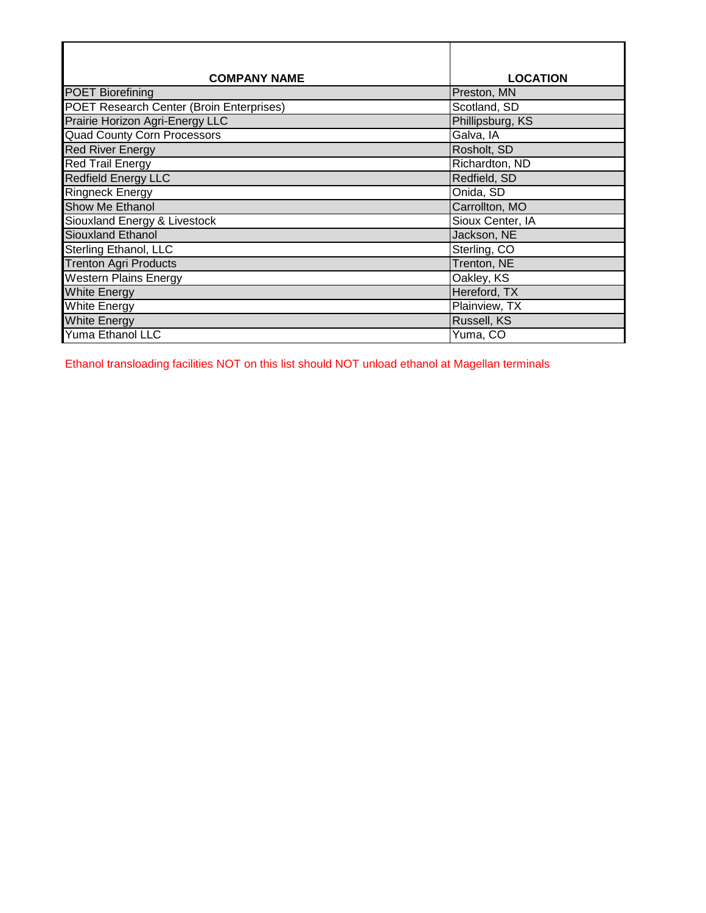| <b>COMPANY NAME</b>                             | <b>LOCATION</b>  |
|-------------------------------------------------|------------------|
| <b>POET Biorefining</b>                         | Preston, MN      |
| <b>POET Research Center (Broin Enterprises)</b> | Scotland, SD     |
| Prairie Horizon Agri-Energy LLC                 | Phillipsburg, KS |
| <b>Quad County Corn Processors</b>              | Galva, IA        |
| <b>Red River Energy</b>                         | Rosholt, SD      |
| <b>Red Trail Energy</b>                         | Richardton, ND   |
| <b>Redfield Energy LLC</b>                      | Redfield, SD     |
| <b>Ringneck Energy</b>                          | Onida, SD        |
| Show Me Ethanol                                 | Carrollton, MO   |
| Siouxland Energy & Livestock                    | Sioux Center, IA |
| Siouxland Ethanol                               | Jackson, NE      |
| Sterling Ethanol, LLC                           | Sterling, CO     |
| <b>Trenton Agri Products</b>                    | Trenton, NE      |
| <b>Western Plains Energy</b>                    | Oakley, KS       |
| <b>White Energy</b>                             | Hereford, TX     |
| <b>White Energy</b>                             | Plainview, TX    |
| <b>White Energy</b>                             | Russell, KS      |
| <b>Yuma Ethanol LLC</b>                         | Yuma, CO         |

Ethanol transloading facilities NOT on this list should NOT unload ethanol at Magellan terminals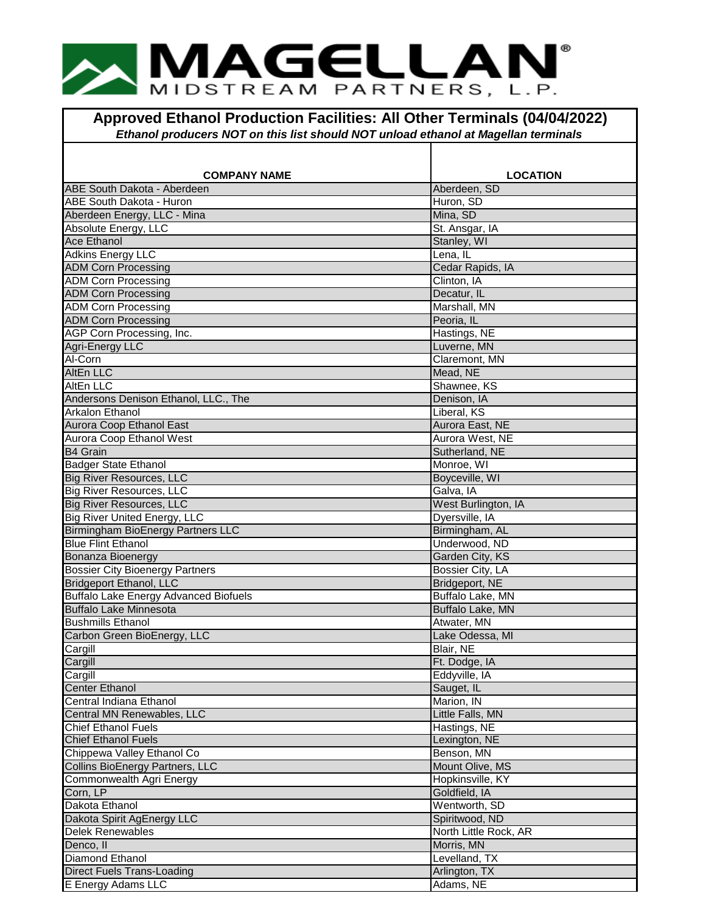## **IMAGELLAN** MIDSTREAM PARTNERS, L.P.

**Approved Ethanol Production Facilities: All Other Terminals (04/04/2022)** *Ethanol producers NOT on this list should NOT unload ethanol at Magellan terminals*

| <b>COMPANY NAME</b>                          | <b>LOCATION</b>       |
|----------------------------------------------|-----------------------|
| ABE South Dakota - Aberdeen                  | Aberdeen, SD          |
| ABE South Dakota - Huron                     | Huron, SD             |
| Aberdeen Energy, LLC - Mina                  | Mina, SD              |
| Absolute Energy, LLC                         | St. Ansgar, IA        |
| <b>Ace Ethanol</b>                           | Stanley, WI           |
| <b>Adkins Energy LLC</b>                     | Lena, IL              |
| <b>ADM Corn Processing</b>                   | Cedar Rapids, IA      |
| <b>ADM Corn Processing</b>                   | Clinton, IA           |
| <b>ADM Corn Processing</b>                   | Decatur, IL           |
| <b>ADM Corn Processing</b>                   | Marshall, MN          |
| <b>ADM Corn Processing</b>                   | Peoria, IL            |
| AGP Corn Processing, Inc.                    | Hastings, NE          |
| Agri-Energy LLC                              | Luverne, MN           |
| Al-Corn                                      | Claremont, MN         |
| <b>AltEn LLC</b>                             | Mead, NE              |
| <b>AltEn LLC</b>                             | Shawnee, KS           |
| Andersons Denison Ethanol, LLC., The         | Denison, IA           |
| Arkalon Ethanol                              | Liberal, KS           |
| Aurora Coop Ethanol East                     | Aurora East, NE       |
| Aurora Coop Ethanol West                     | Aurora West, NE       |
| <b>B4 Grain</b>                              | Sutherland, NE        |
| <b>Badger State Ethanol</b>                  | Monroe, WI            |
| <b>Big River Resources, LLC</b>              | Boyceville, WI        |
| <b>Big River Resources, LLC</b>              | Galva, IA             |
| <b>Big River Resources, LLC</b>              | West Burlington, IA   |
| <b>Big River United Energy, LLC</b>          | Dyersville, IA        |
| Birmingham BioEnergy Partners LLC            | Birmingham, AL        |
| <b>Blue Flint Ethanol</b>                    | Underwood, ND         |
| Bonanza Bioenergy                            | Garden City, KS       |
| <b>Bossier City Bioenergy Partners</b>       | Bossier City, LA      |
| <b>Bridgeport Ethanol, LLC</b>               | Bridgeport, NE        |
| <b>Buffalo Lake Energy Advanced Biofuels</b> | Buffalo Lake, MN      |
| <b>Buffalo Lake Minnesota</b>                | Buffalo Lake, MN      |
| <b>Bushmills Ethanol</b>                     | Atwater, MN           |
| Carbon Green BioEnergy, LLC                  | Lake Odessa, MI       |
| Cargill                                      | Blair, NE             |
| Cargill                                      | Ft. Dodge, IA         |
| Cargill                                      | Eddyville, IA         |
| <b>Center Ethanol</b>                        | Sauget, IL            |
| Central Indiana Ethanol                      | Marion, IN            |
| Central MN Renewables, LLC                   | Little Falls, MN      |
| <b>Chief Ethanol Fuels</b>                   | Hastings, NE          |
| <b>Chief Ethanol Fuels</b>                   | Lexington, NE         |
| Chippewa Valley Ethanol Co                   | Benson, MN            |
| Collins BioEnergy Partners, LLC              | Mount Olive, MS       |
| Commonwealth Agri Energy                     | Hopkinsville, KY      |
| Corn, LP                                     | Goldfield, IA         |
| Dakota Ethanol                               | Wentworth, SD         |
| Dakota Spirit AgEnergy LLC                   | Spiritwood, ND        |
| <b>Delek Renewables</b>                      | North Little Rock, AR |
| Denco, II                                    | Morris, MN            |
| Diamond Ethanol                              | Levelland, TX         |
| <b>Direct Fuels Trans-Loading</b>            | Arlington, TX         |
| E Energy Adams LLC                           | Adams, NE             |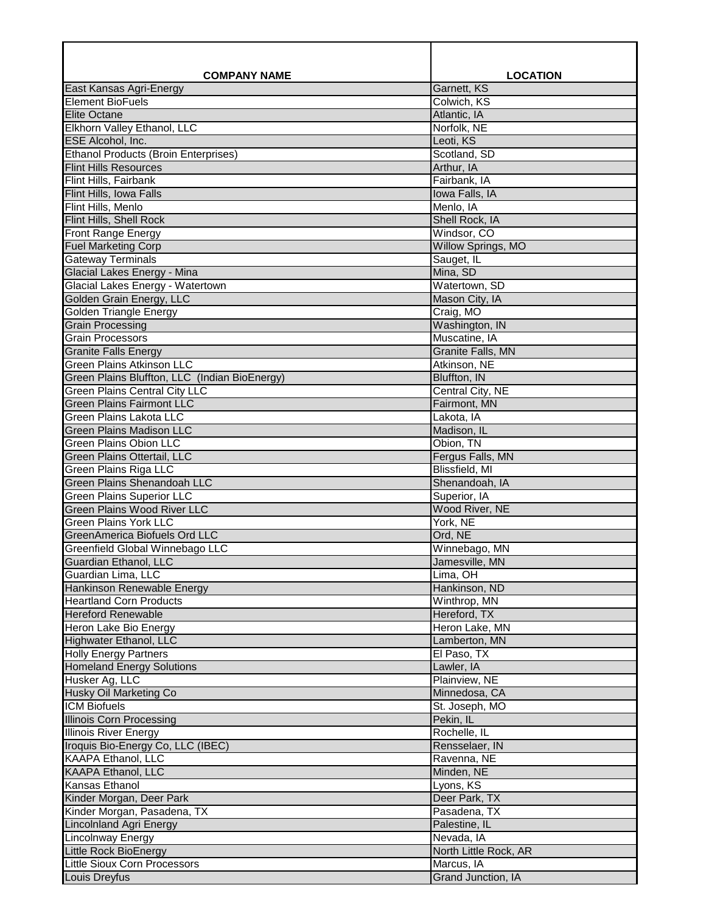| <b>COMPANY NAME</b>                                               | <b>LOCATION</b>                 |
|-------------------------------------------------------------------|---------------------------------|
| East Kansas Agri-Energy                                           | Garnett, KS                     |
| <b>Element BioFuels</b>                                           | Colwich, KS                     |
| <b>Elite Octane</b>                                               | Atlantic, IA                    |
| Elkhorn Valley Ethanol, LLC                                       | Norfolk, NE                     |
| ESE Alcohol, Inc.                                                 | Leoti, KS                       |
| <b>Ethanol Products (Broin Enterprises)</b>                       | Scotland, SD                    |
| <b>Flint Hills Resources</b>                                      | Arthur, IA                      |
| Flint Hills, Fairbank<br>Flint Hills, Iowa Falls                  | Fairbank, IA<br>Iowa Falls, IA  |
| Flint Hills, Menlo                                                | Menlo, IA                       |
| Flint Hills, Shell Rock                                           | Shell Rock, IA                  |
| Front Range Energy                                                | Windsor, CO                     |
| <b>Fuel Marketing Corp</b>                                        | <b>Willow Springs, MO</b>       |
| <b>Gateway Terminals</b>                                          | Sauget, IL                      |
| Glacial Lakes Energy - Mina                                       | Mina, SD                        |
| Glacial Lakes Energy - Watertown                                  | Watertown, SD                   |
| Golden Grain Energy, LLC                                          | Mason City, IA                  |
| <b>Golden Triangle Energy</b>                                     | Craig, MO                       |
| <b>Grain Processing</b>                                           | Washington, IN                  |
| <b>Grain Processors</b>                                           | Muscatine, IA                   |
| <b>Granite Falls Energy</b>                                       | <b>Granite Falls, MN</b>        |
| <b>Green Plains Atkinson LLC</b>                                  | Atkinson, NE                    |
| Green Plains Bluffton, LLC (Indian BioEnergy)                     | Bluffton, IN                    |
| <b>Green Plains Central City LLC</b>                              | Central City, NE                |
| <b>Green Plains Fairmont LLC</b>                                  | Fairmont, MN                    |
| <b>Green Plains Lakota LLC</b><br><b>Green Plains Madison LLC</b> | Lakota, IA<br>Madison, IL       |
| <b>Green Plains Obion LLC</b>                                     | Obion, TN                       |
| Green Plains Ottertail, LLC                                       | Fergus Falls, MN                |
| <b>Green Plains Riga LLC</b>                                      | <b>Blissfield, MI</b>           |
| <b>Green Plains Shenandoah LLC</b>                                | Shenandoah, IA                  |
| <b>Green Plains Superior LLC</b>                                  | Superior, IA                    |
| Green Plains Wood River LLC                                       | Wood River, NE                  |
| <b>Green Plains York LLC</b>                                      | York, NE                        |
| <b>GreenAmerica Biofuels Ord LLC</b>                              | Ord, NE                         |
| Greenfield Global Winnebago LLC                                   | Winnebago, MN                   |
| Guardian Ethanol, LLC                                             | Jamesville, MN                  |
| Guardian Lima, LLC                                                | Lima, OH                        |
| Hankinson Renewable Energy                                        | Hankinson, ND                   |
| <b>Heartland Corn Products</b>                                    | Winthrop, MN                    |
| <b>Hereford Renewable</b>                                         | Hereford, TX                    |
| Heron Lake Bio Energy<br>Highwater Ethanol, LLC                   | Heron Lake, MN<br>Lamberton, MN |
| <b>Holly Energy Partners</b>                                      | El Paso, TX                     |
| <b>Homeland Energy Solutions</b>                                  | Lawler, IA                      |
| Husker Ag, LLC                                                    | Plainview, NE                   |
| <b>Husky Oil Marketing Co</b>                                     | Minnedosa, CA                   |
| <b>ICM Biofuels</b>                                               | St. Joseph, MO                  |
| <b>Illinois Corn Processing</b>                                   | Pekin, IL                       |
| <b>Illinois River Energy</b>                                      | Rochelle, IL                    |
| Iroquis Bio-Energy Co, LLC (IBEC)                                 | Rensselaer, IN                  |
| KAAPA Ethanol, LLC                                                | Ravenna, NE                     |
| <b>KAAPA Ethanol, LLC</b>                                         | Minden, NE                      |
| Kansas Ethanol                                                    | Lyons, KS                       |
| Kinder Morgan, Deer Park                                          | Deer Park, TX                   |
| Kinder Morgan, Pasadena, TX                                       | Pasadena, TX                    |
| <b>Lincolnland Agri Energy</b>                                    | Palestine, IL                   |
| Lincolnway Energy                                                 | Nevada, IA                      |
| <b>Little Rock BioEnergy</b>                                      | North Little Rock, AR           |
| Little Sioux Corn Processors                                      | Marcus, IA                      |
| Louis Dreyfus                                                     | Grand Junction, IA              |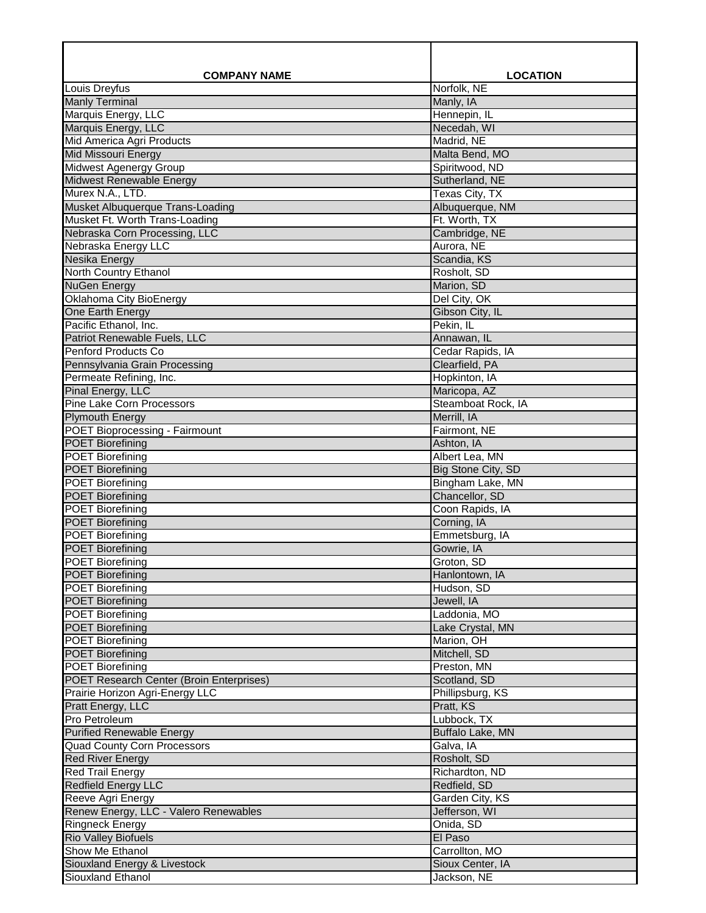| <b>COMPANY NAME</b>                                                    | <b>LOCATION</b>                  |
|------------------------------------------------------------------------|----------------------------------|
| Louis Dreyfus                                                          | Norfolk, NE                      |
| <b>Manly Terminal</b>                                                  | Manly, IA                        |
| Marquis Energy, LLC                                                    | Hennepin, IL                     |
| Marquis Energy, LLC                                                    | Necedah, WI                      |
| Mid America Agri Products                                              | Madrid, NE                       |
| <b>Mid Missouri Energy</b>                                             | Malta Bend, MO                   |
| <b>Midwest Agenergy Group</b><br><b>Midwest Renewable Energy</b>       | Spiritwood, ND<br>Sutherland, NE |
| Murex N.A., LTD.                                                       | Texas City, TX                   |
| Musket Albuquerque Trans-Loading                                       | Albuquerque, NM                  |
| Musket Ft. Worth Trans-Loading                                         | Ft. Worth, TX                    |
| Nebraska Corn Processing, LLC                                          | Cambridge, NE                    |
| Nebraska Energy LLC                                                    | Aurora, NE                       |
| Nesika Energy                                                          | Scandia, KS                      |
| North Country Ethanol                                                  | Rosholt, SD                      |
| <b>NuGen Energy</b>                                                    | Marion, SD                       |
| Oklahoma City BioEnergy                                                | Del City, OK                     |
| One Earth Energy                                                       | Gibson City, IL                  |
| Pacific Ethanol, Inc.                                                  | Pekin, IL                        |
| Patriot Renewable Fuels, LLC                                           | Annawan, IL                      |
| Penford Products Co                                                    | Cedar Rapids, IA                 |
| Pennsylvania Grain Processing<br>Permeate Refining, Inc.               | Clearfield, PA<br>Hopkinton, IA  |
| Pinal Energy, LLC                                                      | Maricopa, AZ                     |
| <b>Pine Lake Corn Processors</b>                                       | Steamboat Rock, IA               |
| <b>Plymouth Energy</b>                                                 | Merrill, IA                      |
| <b>POET Bioprocessing - Fairmount</b>                                  | Fairmont, NE                     |
| <b>POET Biorefining</b>                                                | Ashton, IA                       |
| <b>POET Biorefining</b>                                                | Albert Lea, MN                   |
| <b>POET Biorefining</b>                                                | Big Stone City, SD               |
| <b>POET Biorefining</b>                                                | Bingham Lake, MN                 |
| <b>POET Biorefining</b>                                                | Chancellor, SD                   |
| <b>POET Biorefining</b>                                                | Coon Rapids, IA                  |
| <b>POET Biorefining</b>                                                | Corning, IA                      |
| <b>POET Biorefining</b><br><b>POET Biorefining</b>                     | Emmetsburg, IA                   |
| <b>POET Biorefining</b>                                                | Gowrie, IA<br>Groton, SD         |
| <b>POET Biorefining</b>                                                | Hanlontown, IA                   |
| POET Biorefining                                                       | Hudson, SD                       |
| <b>POET Biorefining</b>                                                | Jewell, IA                       |
| <b>POET Biorefining</b>                                                | Laddonia, MO                     |
| <b>POET Biorefining</b>                                                | Lake Crystal, MN                 |
| <b>POET Biorefining</b>                                                | Marion, OH                       |
| <b>POET Biorefining</b>                                                | Mitchell, SD                     |
| <b>POET Biorefining</b>                                                | Preston, MN                      |
| POET Research Center (Broin Enterprises)                               | Scotland, SD                     |
| Prairie Horizon Agri-Energy LLC                                        | Phillipsburg, KS                 |
| Pratt Energy, LLC                                                      | Pratt, KS                        |
| Pro Petroleum                                                          | Lubbock, TX                      |
| <b>Purified Renewable Energy</b><br><b>Quad County Corn Processors</b> | Buffalo Lake, MN<br>Galva, IA    |
| <b>Red River Energy</b>                                                | Rosholt, SD                      |
| <b>Red Trail Energy</b>                                                | Richardton, ND                   |
| <b>Redfield Energy LLC</b>                                             | Redfield, SD                     |
| Reeve Agri Energy                                                      | Garden City, KS                  |
| Renew Energy, LLC - Valero Renewables                                  | Jefferson, WI                    |
| <b>Ringneck Energy</b>                                                 | Onida, SD                        |
| <b>Rio Valley Biofuels</b>                                             | El Paso                          |
| Show Me Ethanol                                                        | Carrollton, MO                   |
| Siouxland Energy & Livestock                                           | Sioux Center, IA                 |
| Siouxland Ethanol                                                      | Jackson, NE                      |